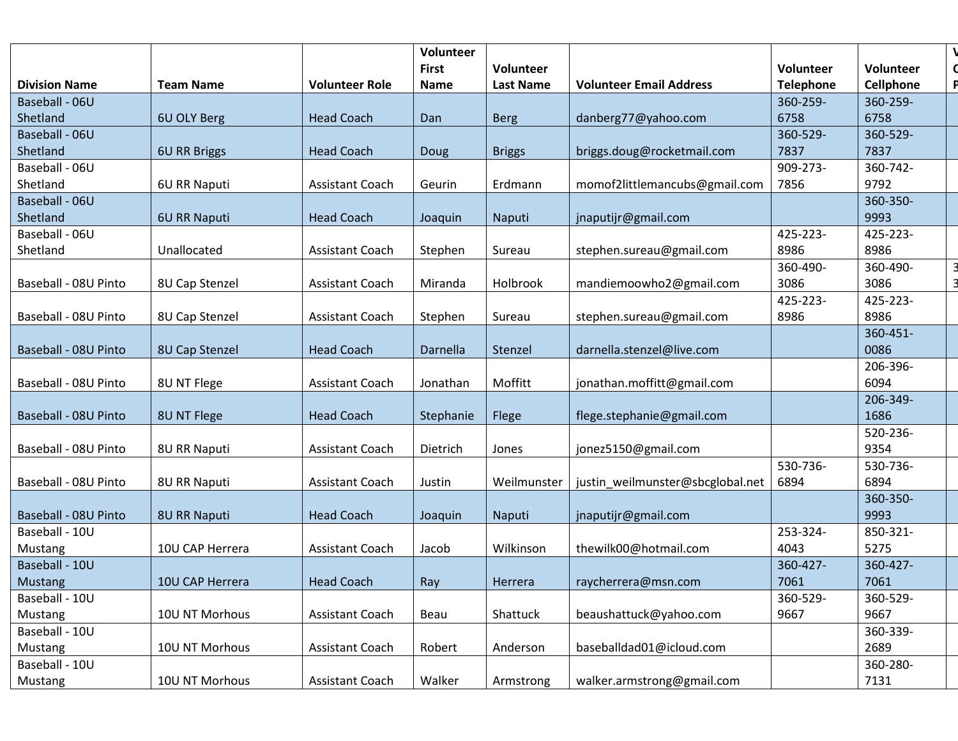|                      |                     |                        | Volunteer    |                  |                                  |                  |           |  |
|----------------------|---------------------|------------------------|--------------|------------------|----------------------------------|------------------|-----------|--|
|                      |                     |                        | <b>First</b> | <b>Volunteer</b> |                                  | Volunteer        | Volunteer |  |
| <b>Division Name</b> | <b>Team Name</b>    | <b>Volunteer Role</b>  | <b>Name</b>  | <b>Last Name</b> | <b>Volunteer Email Address</b>   | <b>Telephone</b> | Cellphone |  |
| Baseball - 06U       |                     |                        |              |                  |                                  | 360-259-         | 360-259-  |  |
| Shetland             | 6U OLY Berg         | <b>Head Coach</b>      | Dan          | <b>Berg</b>      | danberg77@yahoo.com              | 6758             | 6758      |  |
| Baseball - 06U       |                     |                        |              |                  |                                  | 360-529-         | 360-529-  |  |
| Shetland             | <b>6U RR Briggs</b> | <b>Head Coach</b>      | Doug         | <b>Briggs</b>    | briggs.doug@rocketmail.com       | 7837             | 7837      |  |
| Baseball - 06U       |                     |                        |              |                  |                                  | 909-273-         | 360-742-  |  |
| Shetland             | 6U RR Naputi        | <b>Assistant Coach</b> | Geurin       | Erdmann          | momof2littlemancubs@gmail.com    | 7856             | 9792      |  |
| Baseball - 06U       |                     |                        |              |                  |                                  |                  | 360-350-  |  |
| Shetland             | 6U RR Naputi        | <b>Head Coach</b>      | Joaquin      | Naputi           | jnaputijr@gmail.com              |                  | 9993      |  |
| Baseball - 06U       |                     |                        |              |                  |                                  | 425-223-         | 425-223-  |  |
| Shetland             | Unallocated         | Assistant Coach        | Stephen      | Sureau           | stephen.sureau@gmail.com         | 8986             | 8986      |  |
|                      |                     |                        |              |                  |                                  | 360-490-         | 360-490-  |  |
| Baseball - 08U Pinto | 8U Cap Stenzel      | Assistant Coach        | Miranda      | Holbrook         | mandiemoowho2@gmail.com          | 3086             | 3086      |  |
|                      |                     |                        |              |                  |                                  | 425-223-         | 425-223-  |  |
| Baseball - 08U Pinto | 8U Cap Stenzel      | Assistant Coach        | Stephen      | Sureau           | stephen.sureau@gmail.com         | 8986             | 8986      |  |
|                      |                     |                        |              |                  |                                  |                  | 360-451-  |  |
| Baseball - 08U Pinto | 8U Cap Stenzel      | <b>Head Coach</b>      | Darnella     | Stenzel          | darnella.stenzel@live.com        |                  | 0086      |  |
|                      |                     |                        |              |                  |                                  |                  | 206-396-  |  |
| Baseball - 08U Pinto | 8U NT Flege         | <b>Assistant Coach</b> | Jonathan     | Moffitt          | jonathan.moffitt@gmail.com       |                  | 6094      |  |
|                      |                     |                        |              |                  |                                  |                  | 206-349-  |  |
| Baseball - 08U Pinto | 8U NT Flege         | <b>Head Coach</b>      | Stephanie    | Flege            | flege.stephanie@gmail.com        |                  | 1686      |  |
|                      |                     |                        |              |                  |                                  |                  | 520-236-  |  |
| Baseball - 08U Pinto | 8U RR Naputi        | <b>Assistant Coach</b> | Dietrich     | Jones            | jonez5150@gmail.com              |                  | 9354      |  |
|                      |                     |                        |              |                  |                                  | 530-736-         | 530-736-  |  |
| Baseball - 08U Pinto | 8U RR Naputi        | <b>Assistant Coach</b> | Justin       | Weilmunster      | justin_weilmunster@sbcglobal.net | 6894             | 6894      |  |
|                      |                     |                        |              |                  |                                  |                  | 360-350-  |  |
| Baseball - 08U Pinto | 8U RR Naputi        | <b>Head Coach</b>      | Joaquin      | Naputi           | jnaputijr@gmail.com              |                  | 9993      |  |
| Baseball - 10U       |                     |                        |              |                  |                                  | 253-324-         | 850-321-  |  |
| Mustang              | 10U CAP Herrera     | <b>Assistant Coach</b> | Jacob        | Wilkinson        | thewilk00@hotmail.com            | 4043             | 5275      |  |
| Baseball - 10U       |                     |                        |              |                  |                                  | 360-427-         | 360-427-  |  |
| Mustang              | 10U CAP Herrera     | <b>Head Coach</b>      | Ray          | Herrera          | raycherrera@msn.com              | 7061             | 7061      |  |
| Baseball - 10U       |                     |                        |              |                  |                                  | 360-529-         | 360-529-  |  |
| Mustang              | 10U NT Morhous      | Assistant Coach        | Beau         | Shattuck         | beaushattuck@yahoo.com           | 9667             | 9667      |  |
| Baseball - 10U       |                     |                        |              |                  |                                  |                  | 360-339-  |  |
| Mustang              | 10U NT Morhous      | Assistant Coach        | Robert       | Anderson         | baseballdad01@icloud.com         |                  | 2689      |  |
| Baseball - 10U       |                     |                        |              |                  |                                  |                  | 360-280-  |  |
| Mustang              | 10U NT Morhous      | Assistant Coach        | Walker       | Armstrong        | walker.armstrong@gmail.com       |                  | 7131      |  |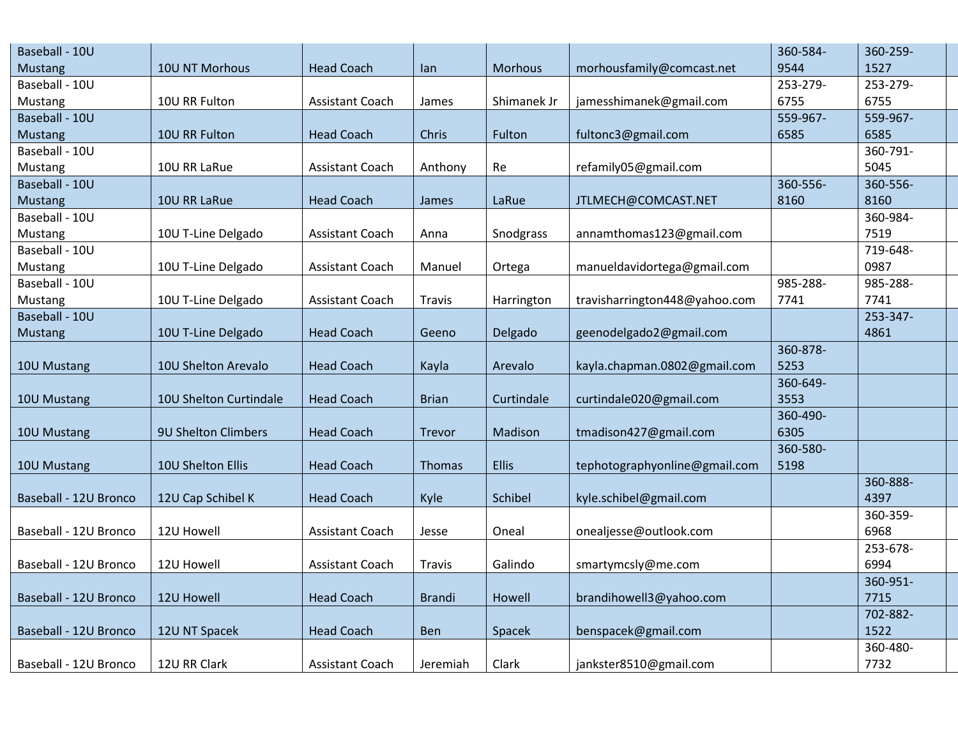| Baseball - 10U        |                        |                        |               |              |                               | 360-584- | 360-259- |
|-----------------------|------------------------|------------------------|---------------|--------------|-------------------------------|----------|----------|
| Mustang               | 10U NT Morhous         | <b>Head Coach</b>      | lan           | Morhous      | morhousfamily@comcast.net     | 9544     | 1527     |
| Baseball - 10U        |                        |                        |               |              |                               | 253-279- | 253-279- |
| Mustang               | 10U RR Fulton          | Assistant Coach        | James         | Shimanek Jr  | jamesshimanek@gmail.com       | 6755     | 6755     |
| Baseball - 10U        |                        |                        |               |              |                               | 559-967- | 559-967- |
| <b>Mustang</b>        | 10U RR Fulton          | <b>Head Coach</b>      | Chris         | Fulton       | fultonc3@gmail.com            | 6585     | 6585     |
| Baseball - 10U        |                        |                        |               |              |                               |          | 360-791- |
| Mustang               | 10U RR LaRue           | Assistant Coach        | Anthony       | Re           | refamily05@gmail.com          |          | 5045     |
| Baseball - 10U        |                        |                        |               |              |                               | 360-556- | 360-556- |
| <b>Mustang</b>        | 10U RR LaRue           | <b>Head Coach</b>      | James         | LaRue        | JTLMECH@COMCAST.NET           | 8160     | 8160     |
| Baseball - 10U        |                        |                        |               |              |                               |          | 360-984- |
| Mustang               | 10U T-Line Delgado     | Assistant Coach        | Anna          | Snodgrass    | annamthomas123@gmail.com      |          | 7519     |
| Baseball - 10U        |                        |                        |               |              |                               |          | 719-648- |
| Mustang               | 10U T-Line Delgado     | <b>Assistant Coach</b> | Manuel        | Ortega       | manueldavidortega@gmail.com   |          | 0987     |
| Baseball - 10U        |                        |                        |               |              |                               | 985-288- | 985-288- |
| Mustang               | 10U T-Line Delgado     | Assistant Coach        | Travis        | Harrington   | travisharrington448@yahoo.com | 7741     | 7741     |
| Baseball - 10U        |                        |                        |               |              |                               |          | 253-347- |
| Mustang               | 10U T-Line Delgado     | <b>Head Coach</b>      | Geeno         | Delgado      | geenodelgado2@gmail.com       |          | 4861     |
|                       |                        |                        |               |              |                               | 360-878- |          |
| 10U Mustang           | 10U Shelton Arevalo    | <b>Head Coach</b>      | Kayla         | Arevalo      | kayla.chapman.0802@gmail.com  | 5253     |          |
|                       |                        |                        |               |              |                               | 360-649- |          |
| 10U Mustang           | 10U Shelton Curtindale | <b>Head Coach</b>      | <b>Brian</b>  | Curtindale   | curtindale020@gmail.com       | 3553     |          |
|                       |                        |                        |               |              |                               | 360-490- |          |
| 10U Mustang           | 9U Shelton Climbers    | <b>Head Coach</b>      | Trevor        | Madison      | tmadison427@gmail.com         | 6305     |          |
|                       |                        |                        |               |              |                               | 360-580- |          |
| 10U Mustang           | 10U Shelton Ellis      | <b>Head Coach</b>      | Thomas        | <b>Ellis</b> | tephotographyonline@gmail.com | 5198     |          |
|                       |                        |                        |               |              |                               |          | 360-888- |
| Baseball - 12U Bronco | 12U Cap Schibel K      | <b>Head Coach</b>      | Kyle          | Schibel      | kyle.schibel@gmail.com        |          | 4397     |
|                       |                        |                        |               |              |                               |          | 360-359- |
| Baseball - 12U Bronco | 12U Howell             | Assistant Coach        | Jesse         | Oneal        | onealjesse@outlook.com        |          | 6968     |
|                       |                        |                        |               |              |                               |          | 253-678- |
| Baseball - 12U Bronco | 12U Howell             | Assistant Coach        | <b>Travis</b> | Galindo      | smartymcsly@me.com            |          | 6994     |
|                       |                        |                        |               |              |                               |          | 360-951- |
| Baseball - 12U Bronco | 12U Howell             | <b>Head Coach</b>      | <b>Brandi</b> | Howell       | brandihowell3@yahoo.com       |          | 7715     |
|                       |                        |                        |               |              |                               |          | 702-882- |
| Baseball - 12U Bronco | 12U NT Spacek          | <b>Head Coach</b>      | Ben           | Spacek       | benspacek@gmail.com           |          | 1522     |
|                       |                        |                        |               |              |                               |          | 360-480- |
| Baseball - 12U Bronco | 12U RR Clark           | Assistant Coach        | Jeremiah      | Clark        | jankster8510@gmail.com        |          | 7732     |